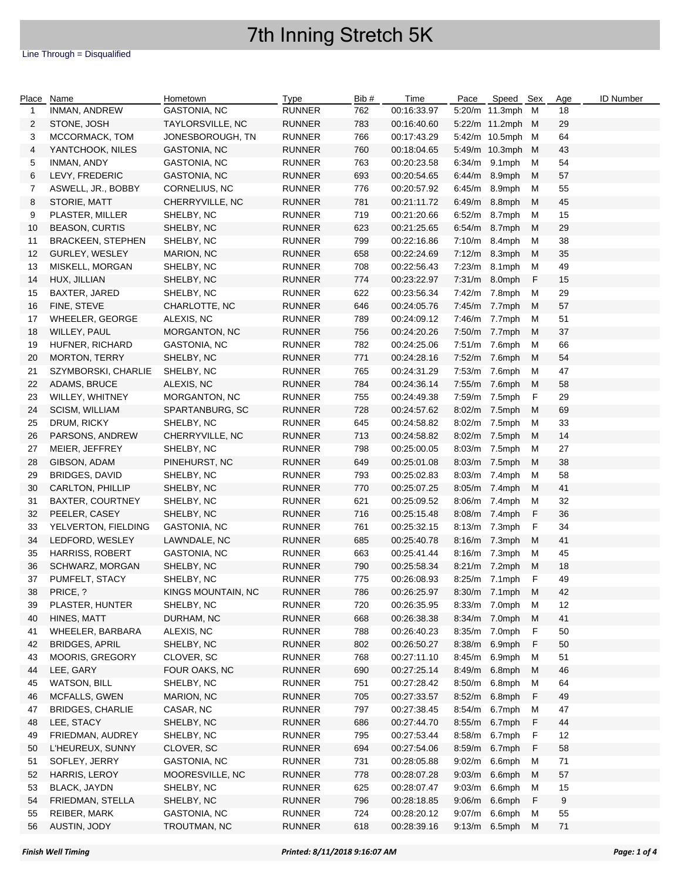### Line Through = Disqualified

| Place        | Name                     | Hometown            | <b>Type</b>   | Bib # | Time        | Pace   | Speed Sex        |   | Age | <b>ID Number</b> |
|--------------|--------------------------|---------------------|---------------|-------|-------------|--------|------------------|---|-----|------------------|
| $\mathbf{1}$ | INMAN, ANDREW            | GASTONIA, NC        | <b>RUNNER</b> | 762   | 00:16:33.97 |        | 5:20/m 11.3mph M |   | 18  |                  |
| 2            | STONE, JOSH              | TAYLORSVILLE, NC    | <b>RUNNER</b> | 783   | 00:16:40.60 |        | 5:22/m 11.2mph M |   | 29  |                  |
| 3            | MCCORMACK, TOM           | JONESBOROUGH, TN    | RUNNER        | 766   | 00:17:43.29 |        | 5:42/m 10.5mph M |   | 64  |                  |
| 4            | YANTCHOOK, NILES         | GASTONIA, NC        | <b>RUNNER</b> | 760   | 00:18:04.65 |        | 5:49/m 10.3mph M |   | 43  |                  |
| 5            | INMAN, ANDY              | GASTONIA, NC        | RUNNER        | 763   | 00:20:23.58 | 6:34/m | 9.1mph           | М | 54  |                  |
| 6            | LEVY, FREDERIC           | GASTONIA, NC        | <b>RUNNER</b> | 693   | 00:20:54.65 | 6:44/m | 8.9mph           | м | 57  |                  |
| 7            | ASWELL, JR., BOBBY       | CORNELIUS, NC       | RUNNER        | 776   | 00:20:57.92 | 6:45/m | 8.9mph           | м | 55  |                  |
| 8            | STORIE, MATT             | CHERRYVILLE, NC     | <b>RUNNER</b> | 781   | 00:21:11.72 | 6:49/m | 8.8mph           | M | 45  |                  |
| 9            | PLASTER, MILLER          | SHELBY, NC          | <b>RUNNER</b> | 719   | 00:21:20.66 | 6:52/m | 8.7mph           | М | 15  |                  |
|              | <b>BEASON, CURTIS</b>    |                     |               |       |             |        | 8.7mph           |   | 29  |                  |
| 10           |                          | SHELBY, NC          | <b>RUNNER</b> | 623   | 00:21:25.65 | 6:54/m |                  | M |     |                  |
| 11           | <b>BRACKEEN, STEPHEN</b> | SHELBY, NC          | <b>RUNNER</b> | 799   | 00:22:16.86 | 7:10/m | 8.4mph           | M | 38  |                  |
| 12           | GURLEY, WESLEY           | MARION, NC          | <b>RUNNER</b> | 658   | 00:22:24.69 | 7:12/m | 8.3mph           | M | 35  |                  |
| 13           | MISKELL, MORGAN          | SHELBY, NC          | RUNNER        | 708   | 00:22:56.43 | 7:23/m | 8.1mph           | м | 49  |                  |
| 14           | HUX, JILLIAN             | SHELBY, NC          | <b>RUNNER</b> | 774   | 00:23:22.97 | 7:31/m | 8.0mph           | F | 15  |                  |
| 15           | BAXTER, JARED            | SHELBY, NC          | <b>RUNNER</b> | 622   | 00:23:56.34 | 7:42/m | 7.8mph           | м | 29  |                  |
| 16           | FINE, STEVE              | CHARLOTTE, NC       | <b>RUNNER</b> | 646   | 00:24:05.76 | 7:45/m | 7.7mph           | М | 57  |                  |
| 17           | <b>WHEELER, GEORGE</b>   | ALEXIS, NC          | <b>RUNNER</b> | 789   | 00:24:09.12 | 7:46/m | 7.7mph           | м | 51  |                  |
| 18           | WILLEY, PAUL             | MORGANTON, NC       | <b>RUNNER</b> | 756   | 00:24:20.26 | 7:50/m | 7.7mph           | М | 37  |                  |
| 19           | HUFNER, RICHARD          | <b>GASTONIA, NC</b> | <b>RUNNER</b> | 782   | 00:24:25.06 | 7:51/m | 7.6mph           | м | 66  |                  |
| 20           | <b>MORTON, TERRY</b>     | SHELBY, NC          | <b>RUNNER</b> | 771   | 00:24:28.16 | 7:52/m | 7.6mph           | М | 54  |                  |
| 21           | SZYMBORSKI, CHARLIE      | SHELBY, NC          | RUNNER        | 765   | 00:24:31.29 | 7:53/m | 7.6mph           | м | 47  |                  |
| 22           | ADAMS, BRUCE             | ALEXIS, NC          | <b>RUNNER</b> | 784   | 00:24:36.14 | 7:55/m | 7.6mph           | М | 58  |                  |
| 23           | WILLEY, WHITNEY          | MORGANTON, NC       | RUNNER        | 755   | 00:24:49.38 | 7:59/m | 7.5mph           | F | 29  |                  |
| 24           | <b>SCISM, WILLIAM</b>    | SPARTANBURG, SC     | <b>RUNNER</b> | 728   | 00:24:57.62 | 8:02/m | 7.5mph           | М | 69  |                  |
| 25           | DRUM, RICKY              | SHELBY, NC          | RUNNER        | 645   | 00:24:58.82 | 8:02/m | 7.5mph           | м | 33  |                  |
| 26           | PARSONS, ANDREW          | CHERRYVILLE, NC     | <b>RUNNER</b> | 713   | 00:24:58.82 | 8:02/m | 7.5mph           | М | 14  |                  |
| 27           | MEIER, JEFFREY           | SHELBY, NC          | RUNNER        | 798   | 00:25:00.05 | 8:03/m | 7.5mph           | M | 27  |                  |
| 28           | GIBSON, ADAM             | PINEHURST, NC       | <b>RUNNER</b> | 649   | 00:25:01.08 | 8:03/m | 7.5mph           | M | 38  |                  |
| 29           | <b>BRIDGES, DAVID</b>    | SHELBY, NC          | <b>RUNNER</b> | 793   | 00:25:02.83 | 8:03/m | 7.4mph           | M | 58  |                  |
| 30           | CARLTON, PHILLIP         | SHELBY, NC          | <b>RUNNER</b> | 770   | 00:25:07.25 | 8:05/m | 7.4mph           | M | 41  |                  |
|              |                          |                     |               | 621   |             |        |                  |   | 32  |                  |
| 31           | BAXTER, COURTNEY         | SHELBY, NC          | RUNNER        |       | 00:25:09.52 | 8:06/m | 7.4mph           | M |     |                  |
| 32           | PEELER, CASEY            | SHELBY, NC          | <b>RUNNER</b> | 716   | 00:25:15.48 | 8:08/m | 7.4mph           | F | 36  |                  |
| 33           | YELVERTON, FIELDING      | GASTONIA, NC        | RUNNER        | 761   | 00:25:32.15 | 8:13/m | 7.3mph           | F | 34  |                  |
| 34           | LEDFORD, WESLEY          | LAWNDALE, NC        | <b>RUNNER</b> | 685   | 00:25:40.78 | 8:16/m | 7.3mph           | M | 41  |                  |
| 35           | HARRISS, ROBERT          | GASTONIA, NC        | <b>RUNNER</b> | 663   | 00:25:41.44 | 8:16/m | 7.3mph           | м | 45  |                  |
| 36           | SCHWARZ, MORGAN          | SHELBY, NC          | <b>RUNNER</b> | 790   | 00:25:58.34 | 8:21/m | 7.2mph           | М | 18  |                  |
| 37           | PUMFELT, STACY           | SHELBY, NC          | <b>RUNNER</b> | 775   | 00:26:08.93 |        | 8:25/m 7.1mph    | F | 49  |                  |
| 38           | PRICE, ?                 | KINGS MOUNTAIN, NC  | <b>RUNNER</b> | 786   | 00:26:25.97 |        | 8:30/m 7.1mph M  |   | 42  |                  |
| 39           | PLASTER, HUNTER          | SHELBY, NC          | RUNNER        | 720   | 00:26:35.95 |        | 8:33/m 7.0mph    | M | 12  |                  |
| 40           | HINES, MATT              | DURHAM, NC          | <b>RUNNER</b> | 668   | 00:26:38.38 | 8:34/m | 7.0mph           | M | 41  |                  |
| 41           | WHEELER, BARBARA         | ALEXIS, NC          | RUNNER        | 788   | 00:26:40.23 | 8:35/m | 7.0mph           | F | 50  |                  |
| 42           | <b>BRIDGES, APRIL</b>    | SHELBY, NC          | <b>RUNNER</b> | 802   | 00:26:50.27 | 8:38/m | 6.9mph           | F | 50  |                  |
| 43           | MOORIS, GREGORY          | CLOVER, SC          | <b>RUNNER</b> | 768   | 00:27:11.10 | 8:45/m | 6.9mph           | м | 51  |                  |
| 44           | LEE, GARY                | FOUR OAKS, NC       | <b>RUNNER</b> | 690   | 00:27:25.14 | 8:49/m | 6.8mph           | M | 46  |                  |
| 45           | <b>WATSON, BILL</b>      | SHELBY, NC          | <b>RUNNER</b> | 751   | 00:27:28.42 | 8:50/m | 6.8mph           | м | 64  |                  |
| 46           | MCFALLS, GWEN            | MARION, NC          | <b>RUNNER</b> | 705   | 00:27:33.57 | 8:52/m | 6.8mph           | F | 49  |                  |
| 47           | <b>BRIDGES, CHARLIE</b>  | CASAR, NC           | <b>RUNNER</b> | 797   | 00:27:38.45 | 8:54/m | 6.7mph           | M | 47  |                  |
| 48           | LEE, STACY               | SHELBY, NC          | <b>RUNNER</b> | 686   | 00:27:44.70 | 8:55/m | 6.7mph           | F | 44  |                  |
| 49           | FRIEDMAN, AUDREY         | SHELBY, NC          | <b>RUNNER</b> | 795   | 00:27:53.44 | 8:58/m | 6.7mph           | F | 12  |                  |
| 50           | L'HEUREUX, SUNNY         | CLOVER, SC          | <b>RUNNER</b> | 694   | 00:27:54.06 | 8:59/m | 6.7mph           | F | 58  |                  |
| 51           | SOFLEY, JERRY            | GASTONIA, NC        | <b>RUNNER</b> | 731   | 00:28:05.88 | 9:02/m | 6.6mph           | M | 71  |                  |
| 52           | HARRIS, LEROY            | MOORESVILLE, NC     | <b>RUNNER</b> | 778   | 00:28:07.28 | 9:03/m | 6.6mph           | M | 57  |                  |
| 53           | BLACK, JAYDN             | SHELBY, NC          | <b>RUNNER</b> | 625   | 00:28:07.47 | 9:03/m | 6.6mph           | M | 15  |                  |
|              |                          |                     |               |       |             |        |                  |   |     |                  |
| 54           | FRIEDMAN, STELLA         | SHELBY, NC          | <b>RUNNER</b> | 796   | 00:28:18.85 | 9:06/m | 6.6mph           | F | 9   |                  |
| 55           | REIBER, MARK             | GASTONIA, NC        | <b>RUNNER</b> | 724   | 00:28:20.12 | 9:07/m | 6.6mph           | M | 55  |                  |
| 56           | AUSTIN, JODY             | TROUTMAN, NC        | <b>RUNNER</b> | 618   | 00:28:39.16 | 9:13/m | 6.5mph           | M | 71  |                  |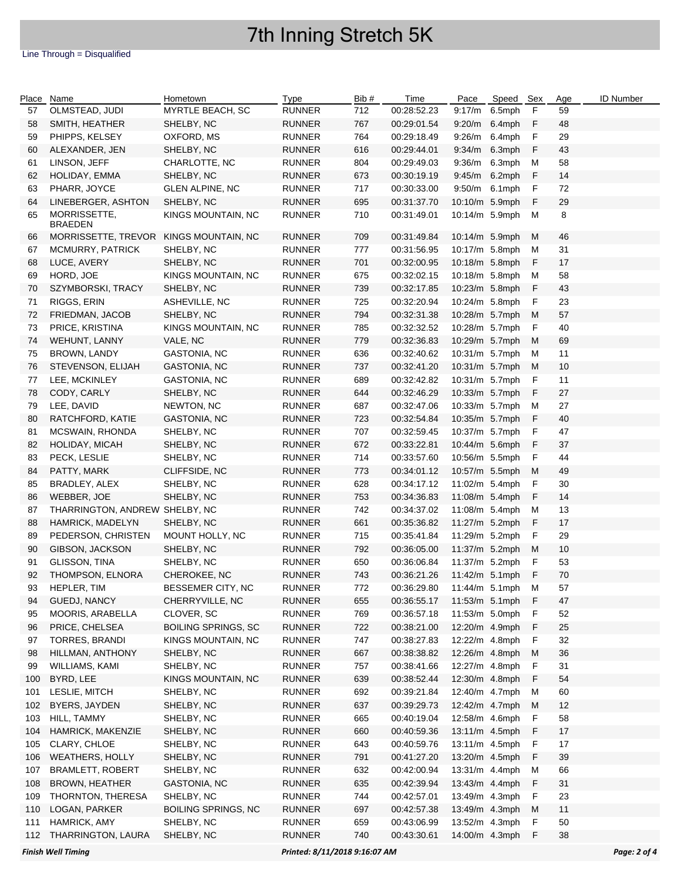### Line Through = Disqualified

| Place | Name                           | Hometown                      | Type          | Bib # | Time        | Pace           | Speed Sex |   | Age          | <b>ID Number</b> |
|-------|--------------------------------|-------------------------------|---------------|-------|-------------|----------------|-----------|---|--------------|------------------|
| 57    | OLMSTEAD, JUDI                 | MYRTLE BEACH, SC              | <b>RUNNER</b> | 712   | 00:28:52.23 | 9:17/m 6.5mph  |           | F | 59           |                  |
| 58    | SMITH, HEATHER                 | SHELBY, NC                    | <b>RUNNER</b> | 767   | 00:29:01.54 | 9:20/m         | 6.4mph    | F | 48           |                  |
| 59    | PHIPPS, KELSEY                 | OXFORD, MS                    | <b>RUNNER</b> | 764   | 00:29:18.49 | 9:26/m         | 6.4mph    | F | 29           |                  |
| 60    | ALEXANDER, JEN                 | SHELBY, NC                    | <b>RUNNER</b> | 616   | 00:29:44.01 | 9:34/m         | 6.3mph    | F | 43           |                  |
| 61    | LINSON, JEFF                   | CHARLOTTE, NC                 | <b>RUNNER</b> | 804   | 00:29:49.03 | 9:36/m         | 6.3mph    | м | 58           |                  |
| 62    | HOLIDAY, EMMA                  | SHELBY, NC                    | <b>RUNNER</b> | 673   | 00:30:19.19 | 9:45/m         | 6.2mph    | F | 14           |                  |
| 63    | PHARR, JOYCE                   | <b>GLEN ALPINE, NC</b>        | <b>RUNNER</b> | 717   | 00:30:33.00 | 9:50/m 6.1mph  |           | F | 72           |                  |
| 64    | LINEBERGER, ASHTON             | SHELBY, NC                    | <b>RUNNER</b> | 695   | 00:31:37.70 | 10:10/m 5.9mph |           | F | 29           |                  |
| 65    | MORRISSETTE,                   | KINGS MOUNTAIN, NC            | <b>RUNNER</b> | 710   | 00:31:49.01 | 10:14/m 5.9mph |           | м | 8            |                  |
|       | <b>BRAEDEN</b>                 |                               |               |       |             |                |           |   |              |                  |
| 66    | MORRISSETTE, TREVOR            | KINGS MOUNTAIN, NC            | <b>RUNNER</b> | 709   | 00:31:49.84 | 10:14/m 5.9mph |           | м | 46           |                  |
| 67    | MCMURRY, PATRICK               | SHELBY, NC                    | <b>RUNNER</b> | 777   | 00:31:56.95 | 10:17/m 5.8mph |           | м | 31           |                  |
| 68    | LUCE, AVERY                    | SHELBY, NC                    | <b>RUNNER</b> | 701   | 00:32:00.95 | 10:18/m 5.8mph |           | F | 17           |                  |
| 69    | HORD, JOE                      | KINGS MOUNTAIN, NC            | <b>RUNNER</b> | 675   | 00:32:02.15 | 10:18/m 5.8mph |           | м | 58           |                  |
| 70    | SZYMBORSKI, TRACY              | SHELBY, NC                    | <b>RUNNER</b> | 739   | 00:32:17.85 | 10:23/m 5.8mph |           | F | 43           |                  |
| 71    | RIGGS, ERIN                    | ASHEVILLE, NC                 | <b>RUNNER</b> | 725   | 00:32:20.94 | 10:24/m 5.8mph |           | F | 23           |                  |
|       | FRIEDMAN, JACOB                |                               |               | 794   | 00:32:31.38 | 10:28/m 5.7mph |           | M | 57           |                  |
| 72    |                                | SHELBY, NC                    | <b>RUNNER</b> |       |             |                |           |   |              |                  |
| 73    | PRICE, KRISTINA                | KINGS MOUNTAIN, NC            | <b>RUNNER</b> | 785   | 00:32:32.52 | 10:28/m 5.7mph |           | F | 40           |                  |
| 74    | WEHUNT, LANNY                  | VALE, NC                      | <b>RUNNER</b> | 779   | 00:32:36.83 | 10:29/m 5.7mph |           | M | 69           |                  |
| 75    | BROWN, LANDY                   | <b>GASTONIA, NC</b>           | <b>RUNNER</b> | 636   | 00:32:40.62 | 10:31/m 5.7mph |           | М | 11           |                  |
| 76    | STEVENSON, ELIJAH              | <b>GASTONIA, NC</b>           | <b>RUNNER</b> | 737   | 00:32:41.20 | 10:31/m 5.7mph |           | M | 10           |                  |
| 77    | LEE, MCKINLEY                  | <b>GASTONIA, NC</b>           | <b>RUNNER</b> | 689   | 00:32:42.82 | 10:31/m 5.7mph |           | F | 11           |                  |
| 78    | CODY, CARLY                    | SHELBY, NC                    | <b>RUNNER</b> | 644   | 00:32:46.29 | 10:33/m 5.7mph |           | F | 27           |                  |
| 79    | LEE, DAVID                     | NEWTON, NC                    | <b>RUNNER</b> | 687   | 00:32:47.06 | 10:33/m 5.7mph |           | М | 27           |                  |
| 80    | RATCHFORD, KATIE               | <b>GASTONIA, NC</b>           | <b>RUNNER</b> | 723   | 00:32:54.84 | 10:35/m 5.7mph |           | F | 40           |                  |
| 81    | MCSWAIN, RHONDA                | SHELBY, NC                    | <b>RUNNER</b> | 707   | 00:32:59.45 | 10:37/m 5.7mph |           | F | 47           |                  |
| 82    | HOLIDAY, MICAH                 | SHELBY, NC                    | <b>RUNNER</b> | 672   | 00:33:22.81 | 10:44/m 5.6mph |           | F | 37           |                  |
| 83    | PECK, LESLIE                   | SHELBY, NC                    | <b>RUNNER</b> | 714   | 00:33:57.60 | 10:56/m 5.5mph |           | F | 44           |                  |
| 84    | PATTY, MARK                    | CLIFFSIDE, NC                 | <b>RUNNER</b> | 773   | 00:34:01.12 | 10:57/m 5.5mph |           | M | 49           |                  |
| 85    | BRADLEY, ALEX                  | SHELBY, NC                    | <b>RUNNER</b> | 628   | 00:34:17.12 | 11:02/m 5.4mph |           | F | 30           |                  |
| 86    | WEBBER, JOE                    | SHELBY, NC                    | <b>RUNNER</b> | 753   | 00:34:36.83 | 11:08/m 5.4mph |           | F | 14           |                  |
| 87    | THARRINGTON, ANDREW SHELBY, NC |                               | <b>RUNNER</b> | 742   | 00:34:37.02 | 11:08/m 5.4mph |           | м | 13           |                  |
| 88    | HAMRICK, MADELYN               | SHELBY, NC                    | <b>RUNNER</b> | 661   | 00:35:36.82 | 11:27/m 5.2mph |           | F | 17           |                  |
| 89    | PEDERSON, CHRISTEN             | MOUNT HOLLY, NC               | <b>RUNNER</b> | 715   | 00:35:41.84 | 11:29/m 5.2mph |           | F | 29           |                  |
|       | GIBSON, JACKSON                |                               |               |       |             | 11:37/m 5.2mph |           | M | 10           |                  |
| 90    |                                | SHELBY, NC                    | <b>RUNNER</b> | 792   | 00:36:05.00 |                |           |   |              |                  |
| 91    | GLISSON, TINA                  | SHELBY, NC                    | <b>RUNNER</b> | 650   | 00:36:06.84 | 11:37/m 5.2mph |           | F | 53           |                  |
| 92    | THOMPSON, ELNORA               | CHEROKEE, NC                  | <b>RUNNER</b> | 743   | 00:36:21.26 | 11:42/m 5.1mph |           | F | 70           |                  |
| 93    | HEPLER, TIM                    | BESSEMER CITY, NC             | <b>RUNNER</b> | 772   | 00:36:29.80 | 11:44/m 5.1mph |           | м | 57           |                  |
| 94    | GUEDJ, NANCY                   | CHERRYVILLE, NC               | <b>RUNNER</b> | 655   | 00:36:55.17 | 11:53/m 5.1mph |           | F | 47           |                  |
| 95    | MOORIS, ARABELLA               | CLOVER, SC                    | <b>RUNNER</b> | 769   | 00:36:57.18 | 11:53/m 5.0mph |           | F | 52           |                  |
| 96    | PRICE, CHELSEA                 | <b>BOILING SPRINGS, SC</b>    | <b>RUNNER</b> | 722   | 00:38:21.00 | 12:20/m 4.9mph |           | F | 25           |                  |
| 97    | TORRES, BRANDI                 | KINGS MOUNTAIN, NC            | RUNNER        | 747   | 00:38:27.83 | 12:22/m 4.8mph |           | F | 32           |                  |
| 98    | HILLMAN, ANTHONY               | SHELBY, NC                    | <b>RUNNER</b> | 667   | 00:38:38.82 | 12:26/m 4.8mph |           | M | 36           |                  |
| 99    | WILLIAMS, KAMI                 | SHELBY, NC                    | <b>RUNNER</b> | 757   | 00:38:41.66 | 12:27/m 4.8mph |           | F | 31           |                  |
| 100   | BYRD, LEE                      | KINGS MOUNTAIN, NC            | <b>RUNNER</b> | 639   | 00:38:52.44 | 12:30/m 4.8mph |           | F | 54           |                  |
| 101   | LESLIE, MITCH                  | SHELBY, NC                    | <b>RUNNER</b> | 692   | 00:39:21.84 | 12:40/m 4.7mph |           | M | 60           |                  |
| 102   | BYERS, JAYDEN                  | SHELBY, NC                    | <b>RUNNER</b> | 637   | 00:39:29.73 | 12:42/m 4.7mph |           | M | 12           |                  |
| 103   | HILL, TAMMY                    | SHELBY, NC                    | <b>RUNNER</b> | 665   | 00:40:19.04 | 12:58/m 4.6mph |           | F | 58           |                  |
| 104   | HAMRICK, MAKENZIE              | SHELBY, NC                    | <b>RUNNER</b> | 660   | 00:40:59.36 | 13:11/m 4.5mph |           | F | 17           |                  |
| 105   | CLARY, CHLOE                   | SHELBY, NC                    | <b>RUNNER</b> | 643   | 00:40:59.76 | 13:11/m 4.5mph |           | F | 17           |                  |
| 106   | <b>WEATHERS, HOLLY</b>         | SHELBY, NC                    | <b>RUNNER</b> | 791   | 00:41:27.20 | 13:20/m 4.5mph |           | F | 39           |                  |
| 107   | <b>BRAMLETT, ROBERT</b>        | SHELBY, NC                    | <b>RUNNER</b> | 632   | 00:42:00.94 | 13:31/m 4.4mph |           | M | 66           |                  |
| 108   | <b>BROWN, HEATHER</b>          | GASTONIA, NC                  | <b>RUNNER</b> | 635   | 00:42:39.94 | 13:43/m 4.4mph |           | F | 31           |                  |
| 109   | THORNTON, THERESA              | SHELBY, NC                    | <b>RUNNER</b> | 744   | 00:42:57.01 | 13:49/m 4.3mph |           | F | 23           |                  |
|       | LOGAN, PARKER                  |                               |               |       |             | 13:49/m 4.3mph |           | M |              |                  |
| 110   |                                | <b>BOILING SPRINGS, NC</b>    | <b>RUNNER</b> | 697   | 00:42:57.38 |                |           |   | 11           |                  |
| 111   | HAMRICK, AMY                   | SHELBY, NC                    | <b>RUNNER</b> | 659   | 00:43:06.99 | 13:52/m 4.3mph |           | F | 50           |                  |
| 112   | THARRINGTON, LAURA             | SHELBY, NC                    | <b>RUNNER</b> | 740   | 00:43:30.61 | 14:00/m 4.3mph |           | F | 38           |                  |
|       | <b>Finish Well Timing</b>      | Printed: 8/11/2018 9:16:07 AM |               |       |             |                |           |   | Page: 2 of 4 |                  |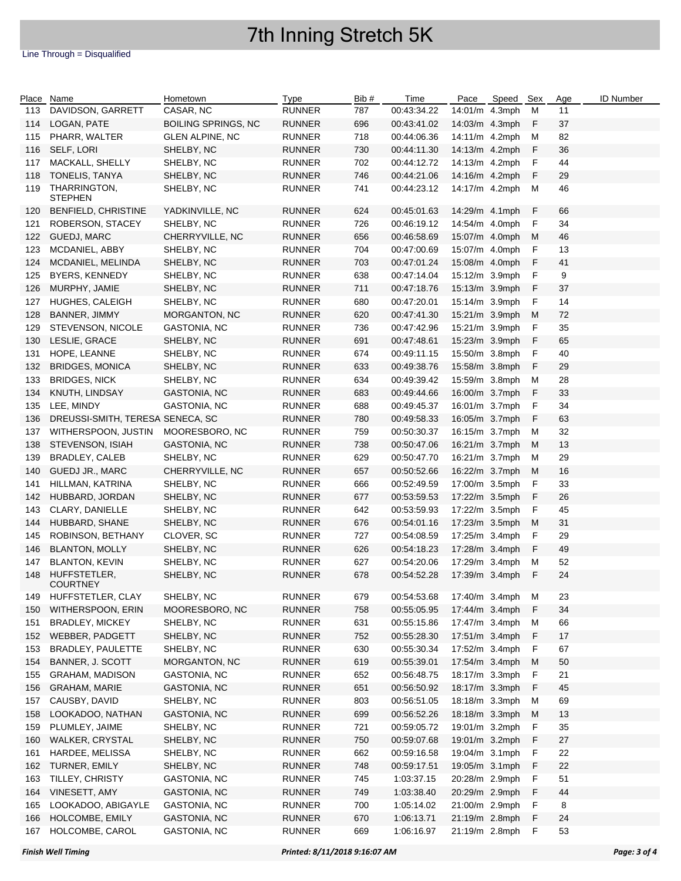| Place | Name                             | Hometown                   | <b>Type</b>   | Bib # | Time        | Pace           | Speed Sex |   | Age | <b>ID Number</b> |
|-------|----------------------------------|----------------------------|---------------|-------|-------------|----------------|-----------|---|-----|------------------|
| 113   | DAVIDSON, GARRETT                | CASAR, NC                  | <b>RUNNER</b> | 787   | 00:43:34.22 | 14:01/m 4.3mph |           | M | 11  |                  |
| 114   | LOGAN, PATE                      | <b>BOILING SPRINGS, NC</b> | <b>RUNNER</b> | 696   | 00:43:41.02 | 14:03/m 4.3mph |           | F | 37  |                  |
| 115   | PHARR, WALTER                    | <b>GLEN ALPINE, NC</b>     | <b>RUNNER</b> | 718   | 00:44:06.36 | 14:11/m 4.2mph |           | M | 82  |                  |
| 116   | SELF, LORI                       | SHELBY, NC                 | <b>RUNNER</b> | 730   | 00:44:11.30 | 14:13/m 4.2mph |           | F | 36  |                  |
| 117   | MACKALL, SHELLY                  | SHELBY, NC                 | <b>RUNNER</b> | 702   | 00:44:12.72 | 14:13/m 4.2mph |           | F | 44  |                  |
| 118   | TONELIS, TANYA                   | SHELBY, NC                 | <b>RUNNER</b> | 746   | 00:44:21.06 | 14:16/m 4.2mph |           | F | 29  |                  |
| 119   | THARRINGTON,<br><b>STEPHEN</b>   | SHELBY, NC                 | <b>RUNNER</b> | 741   | 00:44:23.12 | 14:17/m 4.2mph |           | М | 46  |                  |
| 120   | <b>BENFIELD, CHRISTINE</b>       | YADKINVILLE, NC            | <b>RUNNER</b> | 624   | 00:45:01.63 | 14:29/m 4.1mph |           | F | 66  |                  |
| 121   | ROBERSON, STACEY                 | SHELBY, NC                 | <b>RUNNER</b> | 726   | 00:46:19.12 | 14:54/m 4.0mph |           | F | 34  |                  |
| 122   | GUEDJ, MARC                      | CHERRYVILLE, NC            | <b>RUNNER</b> | 656   | 00:46:58.69 | 15:07/m 4.0mph |           | M | 46  |                  |
| 123   | MCDANIEL, ABBY                   | SHELBY, NC                 | <b>RUNNER</b> | 704   | 00:47:00.69 | 15:07/m 4.0mph |           | F | 13  |                  |
| 124   | MCDANIEL, MELINDA                | SHELBY, NC                 | <b>RUNNER</b> | 703   | 00:47:01.24 | 15:08/m 4.0mph |           | F | 41  |                  |
| 125   | BYERS, KENNEDY                   | SHELBY, NC                 | <b>RUNNER</b> | 638   | 00:47:14.04 | 15:12/m 3.9mph |           | F | 9   |                  |
| 126   | MURPHY, JAMIE                    | SHELBY, NC                 | <b>RUNNER</b> | 711   | 00:47:18.76 | 15:13/m 3.9mph |           | F | 37  |                  |
| 127   | HUGHES, CALEIGH                  | SHELBY, NC                 | <b>RUNNER</b> | 680   | 00:47:20.01 | 15:14/m 3.9mph |           | F | 14  |                  |
| 128   | BANNER, JIMMY                    | MORGANTON, NC              | <b>RUNNER</b> | 620   | 00:47:41.30 | 15:21/m 3.9mph |           | M | 72  |                  |
| 129   | STEVENSON, NICOLE                | <b>GASTONIA, NC</b>        | <b>RUNNER</b> | 736   | 00:47:42.96 | 15:21/m 3.9mph |           | F | 35  |                  |
| 130   | LESLIE, GRACE                    | SHELBY, NC                 | <b>RUNNER</b> | 691   | 00:47:48.61 | 15:23/m 3.9mph |           | F | 65  |                  |
| 131   | HOPE, LEANNE                     | SHELBY, NC                 | <b>RUNNER</b> | 674   | 00:49:11.15 | 15:50/m 3.8mph |           | F | 40  |                  |
| 132   | <b>BRIDGES, MONICA</b>           | SHELBY, NC                 | <b>RUNNER</b> | 633   | 00:49:38.76 | 15:58/m 3.8mph |           | F | 29  |                  |
| 133   | <b>BRIDGES, NICK</b>             | SHELBY, NC                 | <b>RUNNER</b> | 634   | 00:49:39.42 | 15:59/m 3.8mph |           | M | 28  |                  |
|       |                                  |                            |               |       |             |                |           |   |     |                  |
| 134   | KNUTH, LINDSAY                   | GASTONIA, NC               | <b>RUNNER</b> | 683   | 00:49:44.66 | 16:00/m 3.7mph |           | F | 33  |                  |
| 135   | LEE, MINDY                       | GASTONIA, NC               | <b>RUNNER</b> | 688   | 00:49:45.37 | 16:01/m 3.7mph |           | F | 34  |                  |
| 136   | DREUSSI-SMITH, TERESA SENECA, SC |                            | <b>RUNNER</b> | 780   | 00:49:58.33 | 16:05/m 3.7mph |           | F | 63  |                  |
| 137   | WITHERSPOON, JUSTIN              | MOORESBORO, NC             | <b>RUNNER</b> | 759   | 00:50:30.37 | 16:15/m 3.7mph |           | M | 32  |                  |
| 138   | STEVENSON, ISIAH                 | <b>GASTONIA, NC</b>        | <b>RUNNER</b> | 738   | 00:50:47.06 | 16:21/m 3.7mph |           | M | 13  |                  |
| 139   | BRADLEY, CALEB                   | SHELBY, NC                 | RUNNER        | 629   | 00:50:47.70 | 16:21/m 3.7mph |           | M | 29  |                  |
| 140   | GUEDJ JR., MARC                  | CHERRYVILLE, NC            | <b>RUNNER</b> | 657   | 00:50:52.66 | 16:22/m 3.7mph |           | M | 16  |                  |
| 141   | HILLMAN, KATRINA                 | SHELBY, NC                 | <b>RUNNER</b> | 666   | 00:52:49.59 | 17:00/m 3.5mph |           | F | 33  |                  |
| 142   | HUBBARD, JORDAN                  | SHELBY, NC                 | <b>RUNNER</b> | 677   | 00:53:59.53 | 17:22/m 3.5mph |           | F | 26  |                  |
| 143   | CLARY, DANIELLE                  | SHELBY, NC                 | <b>RUNNER</b> | 642   | 00:53:59.93 | 17:22/m 3.5mph |           | F | 45  |                  |
| 144   | HUBBARD, SHANE                   | SHELBY, NC                 | <b>RUNNER</b> | 676   | 00:54:01.16 | 17:23/m 3.5mph |           | M | 31  |                  |
| 145   | ROBINSON, BETHANY                | CLOVER, SC                 | <b>RUNNER</b> | 727   | 00:54:08.59 | 17:25/m 3.4mph |           | F | 29  |                  |
| 146   | <b>BLANTON, MOLLY</b>            | SHELBY, NC                 | <b>RUNNER</b> | 626   | 00:54:18.23 | 17:28/m 3.4mph |           | F | 49  |                  |
| 147   | <b>BLANTON, KEVIN</b>            | SHELBY, NC                 | <b>RUNNER</b> | 627   | 00:54:20.06 | 17:29/m 3.4mph |           | M | 52  |                  |
| 148   | HUFFSTETLER,<br>COURTNEY         | SHELBY, NC                 | <b>RUNNER</b> | 678   | 00:54:52.28 | 17:39/m 3.4mph |           | F | 24  |                  |
| 149   | HUFFSTETLER, CLAY                | SHELBY, NC                 | <b>RUNNER</b> | 679   | 00:54:53.68 | 17:40/m 3.4mph |           | M | 23  |                  |
| 150   | WITHERSPOON, ERIN                | MOORESBORO, NC             | <b>RUNNER</b> | 758   | 00:55:05.95 | 17:44/m 3.4mph |           | F | 34  |                  |
| 151   | <b>BRADLEY, MICKEY</b>           | SHELBY, NC                 | <b>RUNNER</b> | 631   | 00:55:15.86 | 17:47/m 3.4mph |           | M | 66  |                  |
| 152   | WEBBER, PADGETT                  | SHELBY, NC                 | <b>RUNNER</b> | 752   | 00:55:28.30 | 17:51/m 3.4mph |           | F | 17  |                  |
| 153   | BRADLEY, PAULETTE                | SHELBY, NC                 | RUNNER        | 630   | 00:55:30.34 | 17:52/m 3.4mph |           | F | 67  |                  |
| 154   | BANNER, J. SCOTT                 | MORGANTON, NC              | <b>RUNNER</b> | 619   | 00:55:39.01 | 17:54/m 3.4mph |           | M | 50  |                  |
| 155   | <b>GRAHAM, MADISON</b>           | <b>GASTONIA, NC</b>        | <b>RUNNER</b> | 652   | 00:56:48.75 | 18:17/m 3.3mph |           | F | 21  |                  |
| 156   | <b>GRAHAM, MARIE</b>             | <b>GASTONIA, NC</b>        | <b>RUNNER</b> | 651   | 00:56:50.92 | 18:17/m 3.3mph |           | F | 45  |                  |
| 157   | CAUSBY, DAVID                    | SHELBY, NC                 | <b>RUNNER</b> | 803   | 00:56:51.05 | 18:18/m 3.3mph |           | M | 69  |                  |
| 158   | LOOKADOO, NATHAN                 | GASTONIA, NC               | <b>RUNNER</b> | 699   | 00:56:52.26 | 18:18/m 3.3mph |           | M | 13  |                  |
| 159   | PLUMLEY, JAIME                   | SHELBY, NC                 | <b>RUNNER</b> | 721   | 00:59:05.72 | 19:01/m 3.2mph |           | F | 35  |                  |
| 160   | WALKER, CRYSTAL                  | SHELBY, NC                 | <b>RUNNER</b> | 750   | 00:59:07.68 | 19:01/m 3.2mph |           | F | 27  |                  |
| 161   | HARDEE, MELISSA                  | SHELBY, NC                 | <b>RUNNER</b> | 662   | 00:59:16.58 | 19:04/m 3.1mph |           | F | 22  |                  |
| 162   | TURNER, EMILY                    | SHELBY, NC                 | <b>RUNNER</b> | 748   | 00:59:17.51 | 19:05/m 3.1mph |           | F | 22  |                  |
| 163   | TILLEY, CHRISTY                  | GASTONIA, NC               | <b>RUNNER</b> | 745   | 1:03:37.15  | 20:28/m 2.9mph |           | F | 51  |                  |
| 164   | VINESETT, AMY                    | GASTONIA, NC               | <b>RUNNER</b> | 749   | 1:03:38.40  | 20:29/m 2.9mph |           | F | 44  |                  |
| 165   | LOOKADOO, ABIGAYLE               | <b>GASTONIA, NC</b>        | <b>RUNNER</b> | 700   | 1:05:14.02  | 21:00/m 2.9mph |           | F | 8   |                  |
| 166   | HOLCOMBE, EMILY                  | <b>GASTONIA, NC</b>        | <b>RUNNER</b> | 670   | 1:06:13.71  | 21:19/m 2.8mph |           | F | 24  |                  |
| 167   | HOLCOMBE, CAROL                  | GASTONIA, NC               | <b>RUNNER</b> | 669   | 1:06:16.97  | 21:19/m 2.8mph |           | F | 53  |                  |
|       |                                  |                            |               |       |             |                |           |   |     |                  |